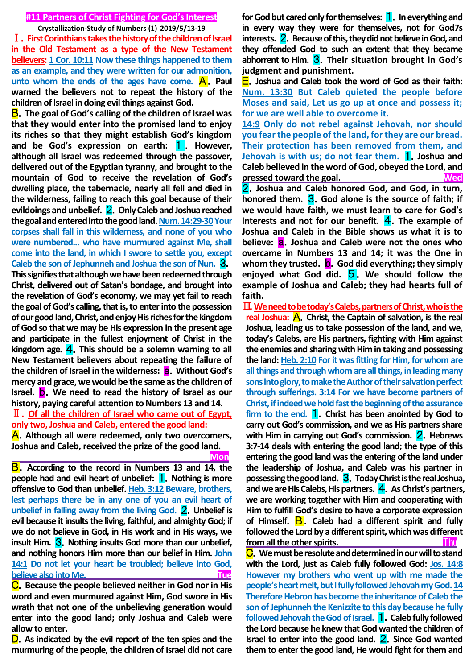### **#11 Partners of Christ Fighting for God's Interest**

**Crystallization-Study of Numbers (1) 2019/5/13-19**

Ⅰ.**First Corinthians takes the history of the children of Israel in the Old Testament as a type of the New Testament believers: 1 Cor. 10:11 Now these things happened to them as an example, and they were written for our admonition,**  unto whom the ends of the ages have come. **A**. Paul **warned the believers not to repeat the history of the children of Israel in doing evil things against God.**

B.**The goal of God's calling of the children of Israel was that they would enter into the promised land to enjoy its riches so that they might establish God's kingdom and be God's expression on earth:** 1 . **However, although all Israel was redeemed through the passover, delivered out of the Egyptian tyranny, and brought to the mountain of God to receive the revelation of God's dwelling place, the tabernacle, nearly all fell and died in the wilderness, failing to reach this goal because of their evildoings and unbelief.** 2.**Only Caleb and Joshua reached**  the goal and entered into the good land. Num. 14:29-30 Your **corpses shall fall in this wilderness, and none of you who were numbered... who have murmured against Me, shall come into the land, in which I swore to settle you, except Caleb the son of Jephunneh and Joshua the son of Nun.** 3.

**This signifies that although we have been redeemed through Christ, delivered out of Satan's bondage, and brought into the revelation of God's economy, we may yet fail to reach the goal of God's calling, that is, to enter into the possession of our good land, Christ, and enjoy His riches for the kingdom of God so that we may be His expression in the present age and participate in the fullest enjoyment of Christ in the kingdom age.** 4.**This should be a solemn warning to all New Testament believers about repeating the failure of the children of Israel in the wilderness:** a.**Without God's mercy and grace, we would be the same as the children of Israel.** b.**We need to read the history of Israel as our history, paying careful attention to Numbers 13 and 14.** Ⅱ.**Of all the children of Israel who came out of Egypt,** 

**only two, Joshua and Caleb, entered the good land:**

A.**Although all were redeemed, only two overcomers, Joshua and Caleb, received the prize of the good land. Monday (2008)** 

B.**According to the record in Numbers 13 and 14, the people had and evil heart of unbelief:** 1.**Nothing is more offensive to God than unbelief. Heb. 3:12 Beware, brothers, lest perhaps there be in any one of you an evil heart of unbelief in falling away from the living God.** 2.**Unbelief is evil because it insults the living, faithful, and almighty God; if we do not believe in God, in His work and in His ways, we insult Him.** 3.**Nothing insults God more than our unbelief, and nothing honors Him more than our belief in Him. John 14:1 Do not let your heart be troubled; believe into God, believe also into Me.** The contract of the contract of the contract of the contract of the contract of the contract of the contract of the contract of the contract of the contract of the contract of the contract of the co

C.**Because the people believed neither in God nor in His word and even murmured against Him, God swore in His wrath that not one of the unbelieving generation would enter into the good land; only Joshua and Caleb were allow to enter.**

D.**As indicated by the evil report of the ten spies and the murmuring of the people, the children of Israel did not care** 

**for God but cared only for themselves:** 1.**In everything and in every way they were for themselves, not for God7s interests.** 2.**Because of this, they did not believe in God, and they offended God to such an extent that they became abhorrent to Him.** 3.**Their situation brought in God's judgment and punishment.**

E.**Joshua and Caleb took the word of God as their faith: Num. 13:30 But Caleb quieted the people before Moses and said, Let us go up at once and possess it; for we are well able to overcome it.**

**14:9 Only do not rebel against Jehovah, nor should you fear the people of the land, for they are our bread. Their protection has been removed from them, and Jehovah is with us; do not fear them.** 1.**Joshua and Caleb believed in the word of God, obeyed the Lord, and pressed toward the goal.** The state of the state of the state of the state of the state of the state of the state of the state of the state of the state of the state of the state of the state of the state of the state of

2.**Joshua and Caleb honored God, and God, in turn, honored them.** 3.**God alone is the source of faith; if we would have faith, we must learn to care for God's interests and not for our benefit.** 4. The example of **Joshua and Caleb in the Bible shows us what it is to believe:** a.**Joshua and Caleb were not the ones who overcame in Numbers 13 and 14; it was the One in**  whom they trusted. **b**. God did everything; they simply **enjoyed what God did.** 5 . **We should follow the example of Joshua and Caleb; they had hearts full of faith.**

Ⅲ.**We need to be today's Calebs, partners of Christ, who is the real Joshua:** A.**Christ, the Captain of salvation, is the real Joshua, leading us to take possession of the land, and we, today's Calebs, are His partners, fighting with Him against the enemies and sharing with Him in taking and possessing the land: Heb. 2:10 For it was fitting for Him, for whom are all things and through whom are all things, in leading many sons into glory, to make the Author of their salvation perfect through sufferings. 3:14 For we have become partners of Christ, if indeed we hold fast the beginning of the assurance firm to the end.** 1.**Christ has been anointed by God to carry out God's commission, and we as His partners share**  with Him in carrying out God's commission. **2**. Hebrews **3:7-14 deals with entering the good land; the type of this entering the good land was the entering of the land under the leadership of Joshua, and Caleb was his partner in possessing the good land.** 3.**Today Christ is the real Joshua, and we are His Calebs, His partners.** 4.**As Christ's partners, we are working together with Him and cooperating with Him to fulfill God's desire to have a corporate expression of Himself.** B . **Caleb had a different spirit and fully followed the Lord by a different spirit, which was different from all the other spirits.** Thus **Thus** 

C.**We must be resolute and determined in our will to stand with the Lord, just as Caleb fully followed God: Jos. 14:8 However my brothers who went up with me made the people's heart melt, but I fully followed Jehovah my God. 14 Therefore Hebron has become the inheritance of Caleb the son of Jephunneh the Kenizzite to this day because he fully followed Jehovah the God of Israel.** 1.**Caleb fully followed the Lord because he knew that God wanted the children of Israel to enter into the good land.** 2.**Since God wanted them to enter the good land, He would fight for them and**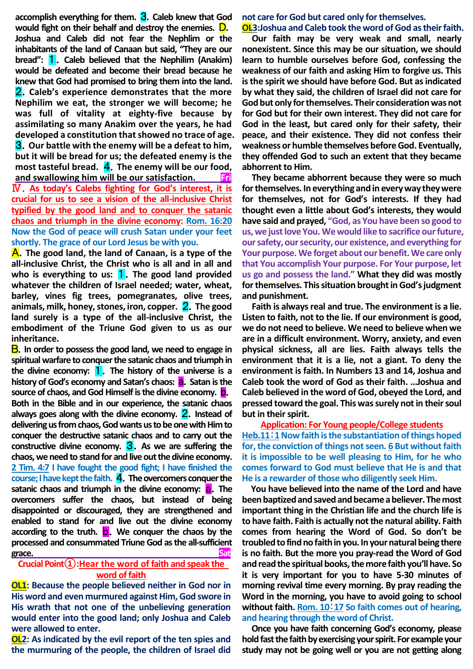**accomplish everything for them.** 3.**Caleb knew that God would fight on their behalf and destroy the enemies.** D. **Joshua and Caleb did not fear the Nephlim or the inhabitants of the land of Canaan but said, "They are our bread":** 1.**Caleb believed that the Nephilim (Anakim) would be defeated and become their bread because he knew that God had promised to bring them into the land.**  2.**Caleb's experience demonstrates that the more Nephilim we eat, the stronger we will become; he was full of vitality at eighty-five because by assimilating so many Anakim over the years, he had developed a constitution that showed no trace of age.**  3.**Our battle with the enemy will be a defeat to him, but it will be bread for us; the defeated enemy is the most tasteful bread.** 4.**The enemy will be our food, and swallowing him will be our satisfaction. Fri** Ⅳ.**As today's Calebs fighting for God's interest, it is crucial for us to see a vision of the all-inclusive Christ typified by the good land and to conquer the satanic chaos and triumph in the divine economy: Rom. 16:20 Now the God of peace will crush Satan under your feet shortly. The grace of our Lord Jesus be with you.**

A.**The good land, the land of Canaan, is a type of the all-inclusive Christ, the Christ who is all and in all and**  who is everything to us: **1**. The good land provided **whatever the children of Israel needed; water, wheat, barley, vines fig trees, pomegranates, olive trees, animals, milk, honey, stones, iron, copper.** 2.**The good land surely is a type of the all-inclusive Christ, the embodiment of the Triune God given to us as our inheritance.**

B.**In order to possess the good land, we need to engage in spiritual warfare to conquer the satanic chaos and triumph in the divine economy:** 1.**The history of the universe is a history of God's economy and Satan's chaos:** a.**Satan is the source of chaos, and God Himself is the divine economy. <b>D. Both in the Bible and in our experience, the satanic chaos always goes along with the divine economy.** 2.**Instead of delivering us from chaos, God wants us to be one with Him to conquer the destructive satanic chaos and to carry out the constructive divine economy.** 3.**As we are suffering the chaos, we need to stand for and live out the divine economy. 2 Tim. 4:7 I have fought the good fight; I have finished the course; I have kept the faith.** 4.**The overcomers conquer the satanic chaos and triumph in the divine economy: a. The overcomers suffer the chaos, but instead of being disappointed or discouraged, they are strengthened and enabled to stand for and live out the divine economy according to the truth.** b.**We conquer the chaos by the processed and consummated Triune God as the all-sufficient grace. Sat**

#### **Crucial Point①:Hear the word of faith and speak the word of faith**

**OL1: Because the people believed neither in God nor in His word and even murmured against Him, God swore in His wrath that not one of the unbelieving generation would enter into the good land; only Joshua and Caleb were allowed to enter.**

**OL2: As indicated by the evil report of the ten spies and the murmuring of the people, the children of Israel did**  **not care for God but cared only for themselves.** 

#### **OL3:Joshua and Caleb took the word of God as their faith.**

**Our faith may be very weak and small, nearly nonexistent. Since this may be our situation, we should learn to humble ourselves before God, confessing the weakness of our faith and asking Him to forgive us. This is the spirit we should have before God. But as indicated by what they said, the children of Israel did not care for God but only for themselves. Their consideration was not for God but for their own interest. They did not care for God in the least, but cared only for their safety, their peace, and their existence. They did not confess their weakness or humble themselves before God. Eventually, they offended God to such an extent that they became abhorrent to Him.**

**They became abhorrent because they were so much for themselves. In everything and in every way they were for themselves, not for God's interests. If they had thought even a little about God's interests, they would have said and prayed, "God, as You have been so good to us, we just love You. We would like to sacrifice our future, our safety, our security, our existence, and everything for Your purpose. We forget about our benefit. We care only that You accomplish Your purpose. For Your purpose, let us go and possess the land." What they did was mostly for themselves. This situation brought in God's judgment and punishment.** 

**Faith is always real and true. The environment is a lie. Listen to faith, not to the lie. If our environment is good, we do not need to believe. We need to believe when we are in a difficult environment. Worry, anxiety, and even physical sickness, all are lies. Faith always tells the environment that it is a lie, not a giant. To deny the environment is faith. In Numbers 13 and 14, Joshua and Caleb took the word of God as their faith. …Joshua and Caleb believed in the word of God, obeyed the Lord, and pressed toward the goal. This was surely not in their soul but in their spirit.** 

**Application: For Young people/College students Heb.11**:**1Now faith is the substantiation of things hoped for, the conviction of things not seen. 6 But without faith it is impossible to be well pleasing to Him, for he who comes forward to God must believe that He is and that He is a rewarder of those who diligently seek Him.** 

**You have believed into the name of the Lord and have been baptized and saved and became a believer. The most important thing in the Christian life and the church life is to have faith. Faith is actually not the natural ability. Faith comes from hearing the Word of God. So don't be troubled to find no faith in you. In your natural being there is no faith. But the more you pray-read the Word of God and read the spiritual books, the morefaith you'll have. So it is very important for you to have 5-30 minutes of morning revival time every morning. By pray reading the Word in the morning, you have to avoid going to school without faith. Rom. 10**:**17 So faith comes out of hearing, and hearing through the word of Christ.**

**Once you have faith concerning God's economy, please hold fast the faith by exercising your spirit. For example your study may not be going well or you are not getting along**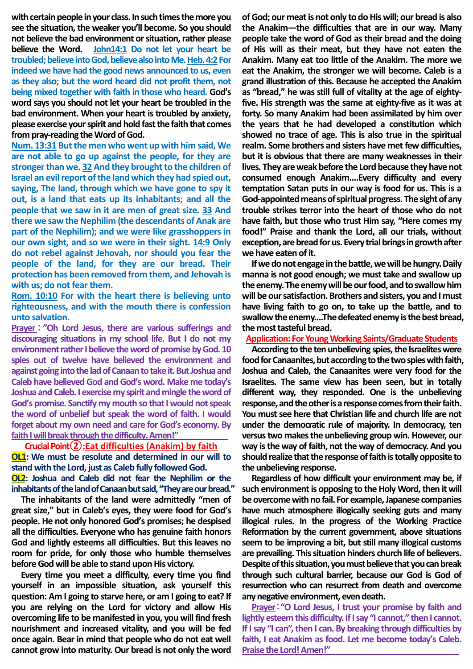with certain people in your class. In such times the more you **see the situation, the weaker you'll become. So you should not believe the bad environment or situation, rather please believe the Word. John14:1 Do not let your heart be troubled; believe into God, believe also into Me. Heb. 4:2For indeed we have had the good news announced to us, even as they also; but the word heard did not profit them, not being mixed together with faith in those who heard. God's word says you should not let your heart be troubled in the bad environment. When your heart is troubled by anxiety, please exercise your spirit and hold fast the faith that comes from pray-reading the Word of God.** 

**Num. 13:31 But the men who went up with him said, We are not able to go up against the people, for they are stronger than we. 32 And they brought to the children of Israel an evil report of the land which they had spied out, saying, The land, through which we have gone to spy it out, is a land that eats up its inhabitants; and all the people that we saw in it are men of great size. 33 And there we saw the Nephilim (the descendants of Anak are part of the Nephilim); and we were like grasshoppers in our own sight, and so we were in their sight. 14:9 Only do not rebel against Jehovah, nor should you fear the people of the land, for they are our bread. Their protection has been removed from them, and Jehovah is with us; do not fear them.** 

**Rom. 10:10 For with the heart there is believing unto righteousness, and with the mouth there is confession unto salvation.** 

**Prayer** : **"Oh Lord Jesus, there are various sufferings and discouraging situations in my school life. But I do not my environment rather I believe the word of promise by God. 10 spies out of twelve have believed the environment and against going into the lad of Canaan to take it. But Joshua and Caleb have believed God and God's word. Make me today's Joshua and Caleb. I exercise my spirit and mingle the word of God's promise. Sanctify my mouth so that I would not speak the word of unbelief but speak the word of faith. I would forget about my own need and care for God's economy. By faith I will break through the difficulty. Amen!"** 

#### **Crucial Point②:Eat difficulties (Anakim) by faith**

**OL1: We must be resolute and determined in our will to stand with the Lord, just as Caleb fully followed God. OL2: Joshua and Caleb did not fear the Nephilim or the** 

**inhabitants of the land of Canaan but said, "They are our bread." The inhabitants of the land were admittedly "men of great size," but in Caleb's eyes, they were food for God's people. He not only honored God's promises; he despised all the difficulties. Everyone who has genuine faith honors God and lightly esteems all difficulties. But this leaves no room for pride, for only those who humble themselves before God will be able to stand upon His victory.** 

**Every time you meet a difficulty, every time you find yourself in an impossible situation, ask yourself this question: Am I going to starve here, or am I going to eat? If you are relying on the Lord for victory and allow His overcoming life to be manifested in you, you will find fresh nourishment and increased vitality, and you will be fed once again. Bear in mind that people who do not eat well cannot grow into maturity. Our bread is not only the word** 

**of God; our meat is not only to do His will; our bread is also the Anakim—the difficulties that are in our way. Many people take the word of God as their bread and the doing of His will as their meat, but they have not eaten the Anakim. Many eat too little of the Anakim. The more we eat the Anakim, the stronger we will become. Caleb is a grand illustration of this. Because he accepted the Anakim as "bread," he was still full of vitality at the age of eightyfive. His strength was the same at eighty-five as it was at forty. So many Anakim had been assimilated by him over the years that he had developed a constitution which showed no trace of age. This is also true in the spiritual realm. Some brothers and sisters have met few difficulties, but it is obvious that there are many weaknesses in their lives. They are weak before the Lord because they have not consumed enough Anakim.…Every difficulty and every temptation Satan puts in our way is food for us. This is a**  God-appointed means of spiritual progress. The sight of any **trouble strikes terror into the heart of those who do not have faith, but those who trust Him say, "Here comes my food!" Praise and thank the Lord, all our trials, without exception, are bread for us. Every trialbrings in growth after we have eaten of it.** 

**If we do not engage in the battle, we will be hungry. Daily manna is not good enough; we must take and swallow up the enemy. The enemy will be our food,and to swallow him will be our satisfaction. Brothers and sisters, you and I must have living faith to go on, to take up the battle, and to**  swallow the enemy....The defeated enemy is the best bread, **the most tasteful bread.**

#### **Application: For Young Working Saints/Graduate Students**

**According to the ten unbelieving spies, the Israelites were food for Canaanites, but according to the twospieswith faith, Joshua and Caleb, the Canaanites were very food for the Israelites. The same view has been seen, but in totally different way, they responded. One is the unbelieving response, and the other is a response comesfrom their faith. You must see here that Christian life and church life are not under the democratic rule of majority. In democracy, ten versus two makesthe unbelieving group win. However, our way is the way of faith, not the way of democracy. And you**  should realize that the response of faith is totally opposite to **the unbelieving response.**

**Regardless of how difficult your environment may be, if such environment is opposing to the Holy Word, then it will be overcome with no fail. For example, Japanese companies have much atmosphere illogically seeking guts and many illogical rules. In the progress of the Working Practice Reformation by the current government, above situations seem to be improving a bit, but still many illogical customs are prevailing. This situation hinders church life of believers. Despite of this situation, you must believe that you can break through such cultural barrier, because our God is God of resurrection who can resurrect from death and overcome any negative environment, even death.**

**Prayer**:**"O Lord Jesus, I trust your promise by faith and lightly esteem this difficulty. If I say "I cannot," then I cannot. If I say "I can", then I can. By breaking through difficulties by faith, I eat Anakim as food. Let me become today's Caleb. Praise the Lord! Amen!"**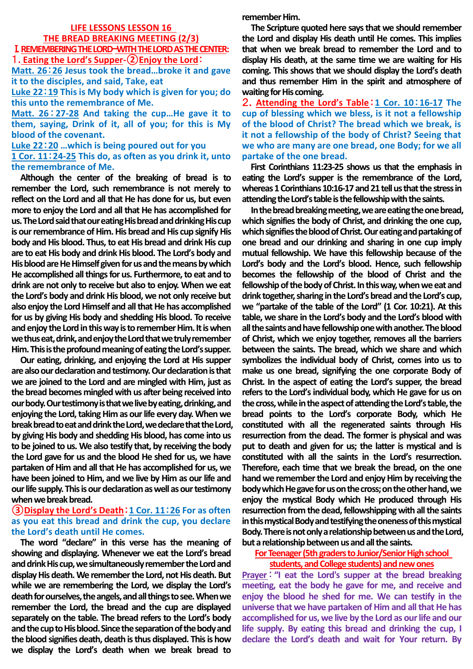# **LIFE LESSONS LESSON 16 THE BREAD BREAKING MEETING (2/3)** Ⅰ.**REMEMBERING THE LORD**—**WITH THE LORD AS THE CENTER:**

1**. Eating the Lord's Supper-②Enjoy the Lord**:

**Matt. 26**:**26 Jesus took the bread…broke it and gave it to the disciples, and said, Take, eat**

**Luke 22**:**19 This is My body which is given for you; do this unto the remembrance of Me.** 

**Matt. 26**:**27-28 And taking the cup…He gave it to them, saying, Drink of it, all of you; for this is My blood of the covenant.**

**Luke 22**:**20 …which is being poured out for you 1 Cor. 11**:**24-25 This do, as often as you drink it, unto the remembrance of Me.** 

**Although the center of the breaking of bread is to remember the Lord, such remembrance is not merely to reflect on the Lord and all that He has done for us, but even more to enjoy the Lord and all that He has accomplished for us. The Lord said that our eating His bread and drinking His cup is our remembrance of Him. His bread and His cup signify His body and His blood. Thus, to eat His bread and drink His cup are to eat His body and drink His blood. The Lord's body and His blood are He Himself given for us and the means by which He accomplished all things for us. Furthermore, to eat and to drink are not only to receive but also to enjoy. When we eat the Lord's body and drink His blood, we not only receive but also enjoy the Lord Himself and all that He has accomplished for us by giving His body and shedding His blood. To receive and enjoy the Lord in this way is to remember Him. It is when we thus eat, drink, and enjoy the Lord that we truly remember Him. This is the profound meaning of eating the Lord's supper.**

**Our eating, drinking, and enjoying the Lord at His supper are also our declaration and testimony. Our declaration is that we are joined to the Lord and are mingled with Him, just as the bread becomes mingled with us after being received into our body. Our testimony is that we live by eating, drinking, and enjoying the Lord, taking Him as our life every day. When we break bread to eat and drink the Lord, we declare that the Lord, by giving His body and shedding His blood, has come into us to be joined to us. We also testify that, by receiving the body the Lord gave for us and the blood He shed for us, we have partaken of Him and all that He has accomplished for us, we have been joined to Him, and we live by Him as our life and our life supply. This is our declaration as well as our testimony when we break bread.** 

## **③Display the Lord's Death**:**1 Cor. 11**:**26 For as often as you eat this bread and drink the cup, you declare the Lord's death until He comes.**

**The word "declare" in this verse has the meaning of showing and displaying. Whenever we eat the Lord's bread and drink His cup, we simultaneously remember the Lord and display His death. We remember the Lord, not His death. But while we are remembering the Lord, we display the Lord's death for ourselves, the angels, and all things to see. When we remember the Lord, the bread and the cup are displayed separately on the table. The bread refers to the Lord's body and the cup to His blood. Since the separation of the body and the blood signifies death, death is thus displayed. This is how we display the Lord's death when we break bread to** 

**remember Him.**

**The Scripture quoted here says that we should remember the Lord and display His death until He comes. This implies that when we break bread to remember the Lord and to display His death, at the same time we are waiting for His coming. This shows that we should display the Lord's death and thus remember Him in the spirit and atmosphere of waiting for His coming.**

2.**Attending the Lord's Table**:**1 Cor. 10**:**16-17 The cup of blessing which we bless, is it not a fellowship of the blood of Christ? The bread which we break, is it not a fellowship of the body of Christ? Seeing that we who are many are one bread, one Body; for we all partake of the one bread.**

**First Corinthians 11:23-25 shows us that the emphasis in eating the Lord's supper is the remembrance of the Lord, whereas 1 Corinthians 10:16-17 and 21 tell us that the stress in attending the Lord's table is the fellowship with the saints.**

**In the bread breaking meeting, we are eating the one bread, which signifies the body of Christ, and drinking the one cup, which signifies the blood of Christ. Our eating and partaking of one bread and our drinking and sharing in one cup imply mutual fellowship. We have this fellowship because of the Lord's body and the Lord's blood. Hence, such fellowship becomes the fellowship of the blood of Christ and the fellowship of the body of Christ. In this way, when we eat and drink together, sharing in the Lord's bread and the Lord's cup, we "partake of the table of the Lord" (1 Cor. 10:21). At this table, we share in the Lord's body and the Lord's blood with all the saints and have fellowship one with another. The blood of Christ, which we enjoy together, removes all the barriers between the saints. The bread, which we share and which symbolizes the individual body of Christ, comes into us to make us one bread, signifying the one corporate Body of Christ. In the aspect of eating the Lord's supper, the bread refers to the Lord's individual body, which He gave for us on the cross, while in the aspect of attending the Lord's table, the bread points to the Lord's corporate Body, which He constituted with all the regenerated saints through His resurrection from the dead. The former is physical and was put to death and given for us; the latter is mystical and is constituted with all the saints in the Lord's resurrection. Therefore, each time that we break the bread, on the one hand we remember the Lord and enjoy Him by receiving the body which He gave for us on the cross; on the otherhand, we enjoy the mystical Body which He produced through His resurrection from the dead, fellowshipping with all the saints in this mystical Body and testifying the oneness of this mystical Body. There is not only a relationship between us and the Lord, but a relationship between us and all the saints.**

**For Teenager (5th graders to Junior/Senior High school** 

## **students, and College students) and new ones**

**Prayer**:**"I eat the Lord's supper at the bread breaking meeting, eat the body he gave for me, and receive and enjoy the blood he shed for me. We can testify in the universe that we have partaken of Him and all that He has accomplished for us, we live by the Lord as our life and our life supply. By eating this bread and drinking the cup, I declare the Lord's death and wait for Your return. By**